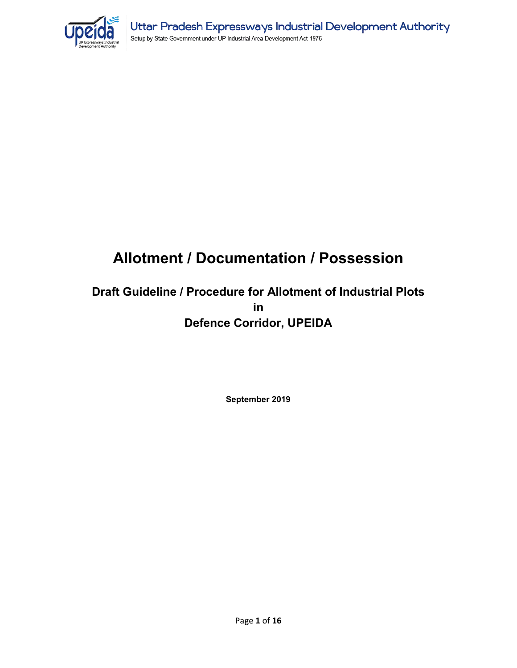

# **Allotment / Documentation / Possession**

## **Draft Guideline / Procedure for Allotment of Industrial Plots in Defence Corridor, UPEIDA**

**September 2019**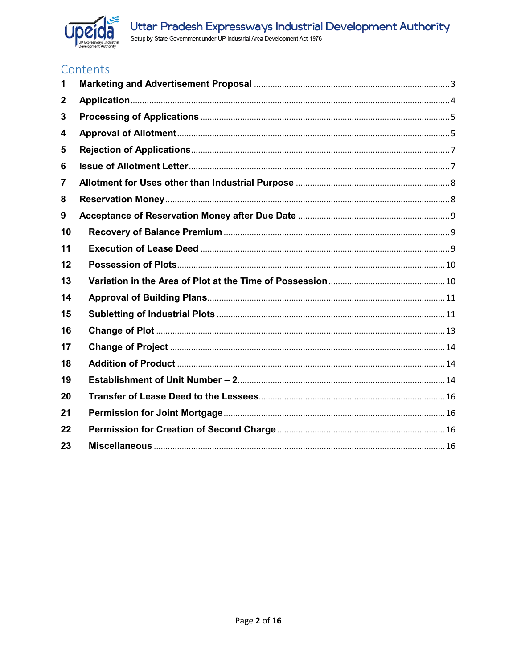

## Contents

| 1                |  |
|------------------|--|
| $\boldsymbol{2}$ |  |
| 3                |  |
| 4                |  |
| 5                |  |
| 6                |  |
| 7                |  |
| 8                |  |
| 9                |  |
| 10               |  |
| 11               |  |
| 12               |  |
| 13               |  |
| 14               |  |
| 15               |  |
| 16               |  |
| 17               |  |
| 18               |  |
| 19               |  |
| 20               |  |
| 21               |  |
| 22               |  |
| 23               |  |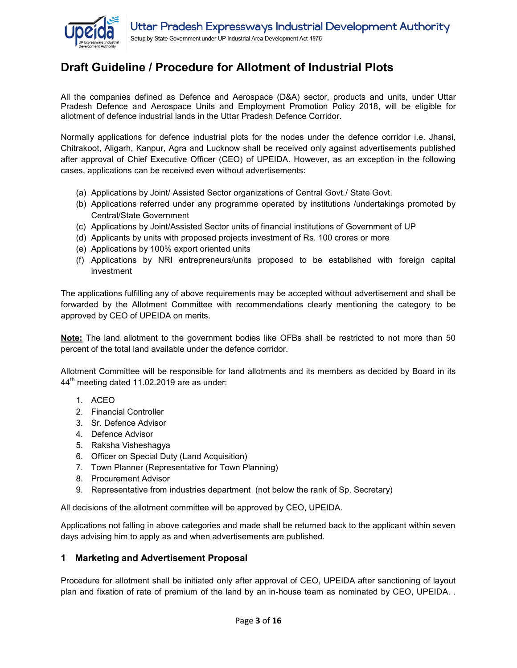

## **Draft Guideline / Procedure for Allotment of Industrial Plots**

All the companies defined as Defence and Aerospace (D&A) sector, products and units, under Uttar Pradesh Defence and Aerospace Units and Employment Promotion Policy 2018, will be eligible for allotment of defence industrial lands in the Uttar Pradesh Defence Corridor.

Normally applications for defence industrial plots for the nodes under the defence corridor i.e. Jhansi, Chitrakoot, Aligarh, Kanpur, Agra and Lucknow shall be received only against advertisements published after approval of Chief Executive Officer (CEO) of UPEIDA. However, as an exception in the following cases, applications can be received even without advertisements:

- (a) Applications by Joint/ Assisted Sector organizations of Central Govt./ State Govt.
- (b) Applications referred under any programme operated by institutions /undertakings promoted by Central/State Government
- (c) Applications by Joint/Assisted Sector units of financial institutions of Government of UP
- (d) Applicants by units with proposed projects investment of Rs. 100 crores or more
- (e) Applications by 100% export oriented units
- (f) Applications by NRI entrepreneurs/units proposed to be established with foreign capital investment

The applications fulfilling any of above requirements may be accepted without advertisement and shall be forwarded by the Allotment Committee with recommendations clearly mentioning the category to be approved by CEO of UPEIDA on merits.

**Note:** The land allotment to the government bodies like OFBs shall be restricted to not more than 50 percent of the total land available under the defence corridor.

Allotment Committee will be responsible for land allotments and its members as decided by Board in its  $44<sup>th</sup>$  meeting dated 11.02.2019 are as under:

- 1. ACEO
- 2. Financial Controller
- 3. Sr. Defence Advisor
- 4. Defence Advisor
- 5. Raksha Visheshagya
- 6. Officer on Special Duty (Land Acquisition)
- 7. Town Planner (Representative for Town Planning)
- 8. Procurement Advisor
- 9. Representative from industries department (not below the rank of Sp. Secretary)

All decisions of the allotment committee will be approved by CEO, UPEIDA.

Applications not falling in above categories and made shall be returned back to the applicant within seven days advising him to apply as and when advertisements are published.

#### <span id="page-2-0"></span>**1 Marketing and Advertisement Proposal**

Procedure for allotment shall be initiated only after approval of CEO, UPEIDA after sanctioning of layout plan and fixation of rate of premium of the land by an in-house team as nominated by CEO, UPEIDA. .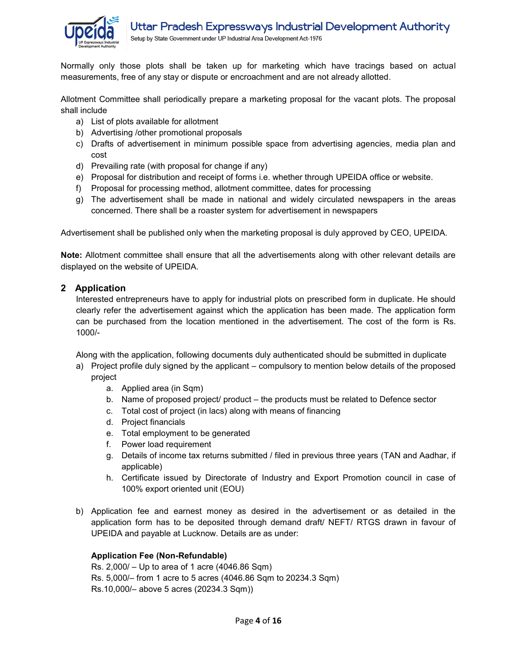

Normally only those plots shall be taken up for marketing which have tracings based on actual measurements, free of any stay or dispute or encroachment and are not already allotted.

Allotment Committee shall periodically prepare a marketing proposal for the vacant plots. The proposal shall include

- a) List of plots available for allotment
- b) Advertising /other promotional proposals
- c) Drafts of advertisement in minimum possible space from advertising agencies, media plan and cost
- d) Prevailing rate (with proposal for change if any)
- e) Proposal for distribution and receipt of forms i.e. whether through UPEIDA office or website.
- f) Proposal for processing method, allotment committee, dates for processing
- g) The advertisement shall be made in national and widely circulated newspapers in the areas concerned. There shall be a roaster system for advertisement in newspapers

Advertisement shall be published only when the marketing proposal is duly approved by CEO, UPEIDA.

**Note:** Allotment committee shall ensure that all the advertisements along with other relevant details are displayed on the website of UPEIDA.

## <span id="page-3-0"></span>**2 Application**

Interested entrepreneurs have to apply for industrial plots on prescribed form in duplicate. He should clearly refer the advertisement against which the application has been made. The application form can be purchased from the location mentioned in the advertisement. The cost of the form is Rs. 1000/-

Along with the application, following documents duly authenticated should be submitted in duplicate

- a) Project profile duly signed by the applicant compulsory to mention below details of the proposed project
	- a. Applied area (in Sqm)
	- b. Name of proposed project/ product the products must be related to Defence sector
	- c. Total cost of project (in lacs) along with means of financing
	- d. Project financials
	- e. Total employment to be generated
	- f. Power load requirement
	- g. Details of income tax returns submitted / filed in previous three years (TAN and Aadhar, if applicable)
	- h. Certificate issued by Directorate of Industry and Export Promotion council in case of 100% export oriented unit (EOU)
- b) Application fee and earnest money as desired in the advertisement or as detailed in the application form has to be deposited through demand draft/ NEFT/ RTGS drawn in favour of UPEIDA and payable at Lucknow. Details are as under:

#### **Application Fee (Non-Refundable)**

Rs. 2,000/ – Up to area of 1 acre (4046.86 Sqm) Rs. 5,000/– from 1 acre to 5 acres (4046.86 Sqm to 20234.3 Sqm) Rs.10,000/– above 5 acres (20234.3 Sqm))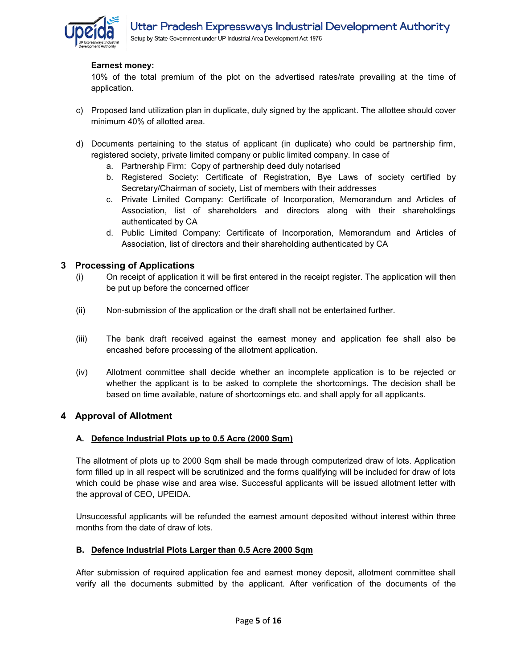

## **Earnest money:**

10% of the total premium of the plot on the advertised rates/rate prevailing at the time of application.

- c) Proposed land utilization plan in duplicate, duly signed by the applicant. The allottee should cover minimum 40% of allotted area.
- d) Documents pertaining to the status of applicant (in duplicate) who could be partnership firm, registered society, private limited company or public limited company. In case of
	- a. Partnership Firm: Copy of partnership deed duly notarised
	- b. Registered Society: Certificate of Registration, Bye Laws of society certified by Secretary/Chairman of society, List of members with their addresses
	- c. Private Limited Company: Certificate of Incorporation, Memorandum and Articles of Association, list of shareholders and directors along with their shareholdings authenticated by CA
	- d. Public Limited Company: Certificate of Incorporation, Memorandum and Articles of Association, list of directors and their shareholding authenticated by CA

## <span id="page-4-0"></span>**3 Processing of Applications**

- (i) On receipt of application it will be first entered in the receipt register. The application will then be put up before the concerned officer
- (ii) Non-submission of the application or the draft shall not be entertained further.
- (iii) The bank draft received against the earnest money and application fee shall also be encashed before processing of the allotment application.
- (iv) Allotment committee shall decide whether an incomplete application is to be rejected or whether the applicant is to be asked to complete the shortcomings. The decision shall be based on time available, nature of shortcomings etc. and shall apply for all applicants.

#### <span id="page-4-1"></span>**4 Approval of Allotment**

#### **A. Defence Industrial Plots up to 0.5 Acre (2000 Sqm)**

The allotment of plots up to 2000 Sqm shall be made through computerized draw of lots. Application form filled up in all respect will be scrutinized and the forms qualifying will be included for draw of lots which could be phase wise and area wise. Successful applicants will be issued allotment letter with the approval of CEO, UPEIDA.

Unsuccessful applicants will be refunded the earnest amount deposited without interest within three months from the date of draw of lots.

#### **B. Defence Industrial Plots Larger than 0.5 Acre 2000 Sqm**

After submission of required application fee and earnest money deposit, allotment committee shall verify all the documents submitted by the applicant. After verification of the documents of the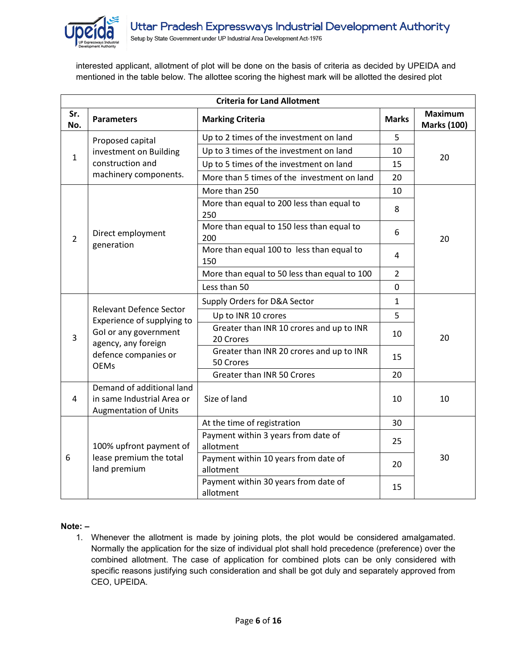

interested applicant, allotment of plot will be done on the basis of criteria as decided by UPEIDA and mentioned in the table below. The allottee scoring the highest mark will be allotted the desired plot

| <b>Criteria for Land Allotment</b> |                                                                                                                                                     |                                                                                                                                                                                                                                           |                |                                      |  |  |
|------------------------------------|-----------------------------------------------------------------------------------------------------------------------------------------------------|-------------------------------------------------------------------------------------------------------------------------------------------------------------------------------------------------------------------------------------------|----------------|--------------------------------------|--|--|
| Sr.<br>No.                         | <b>Parameters</b>                                                                                                                                   | <b>Marking Criteria</b>                                                                                                                                                                                                                   |                | <b>Maximum</b><br><b>Marks (100)</b> |  |  |
|                                    | Proposed capital<br>investment on Building<br>construction and<br>machinery components.                                                             | Up to 2 times of the investment on land                                                                                                                                                                                                   | 5              |                                      |  |  |
| $\mathbf{1}$                       |                                                                                                                                                     | Up to 3 times of the investment on land                                                                                                                                                                                                   | 10             | 20                                   |  |  |
|                                    |                                                                                                                                                     | Up to 5 times of the investment on land                                                                                                                                                                                                   |                |                                      |  |  |
|                                    |                                                                                                                                                     | More than 5 times of the investment on land                                                                                                                                                                                               | 20             |                                      |  |  |
|                                    |                                                                                                                                                     | More than 250<br>More than equal to 200 less than equal to<br>250<br>More than equal to 150 less than equal to<br>200<br>More than equal 100 to less than equal to<br>150<br>More than equal to 50 less than equal to 100<br>Less than 50 | 10             |                                      |  |  |
|                                    | Direct employment<br>generation                                                                                                                     |                                                                                                                                                                                                                                           | 8              |                                      |  |  |
| 2                                  |                                                                                                                                                     |                                                                                                                                                                                                                                           | 6              | 20                                   |  |  |
|                                    |                                                                                                                                                     |                                                                                                                                                                                                                                           | 4              |                                      |  |  |
|                                    |                                                                                                                                                     |                                                                                                                                                                                                                                           | $\overline{2}$ |                                      |  |  |
|                                    |                                                                                                                                                     |                                                                                                                                                                                                                                           | 0              |                                      |  |  |
|                                    | <b>Relevant Defence Sector</b><br>Experience of supplying to<br>Gol or any government<br>agency, any foreign<br>defence companies or<br><b>OEMs</b> | Supply Orders for D&A Sector                                                                                                                                                                                                              | $\mathbf{1}$   |                                      |  |  |
|                                    |                                                                                                                                                     | Up to INR 10 crores                                                                                                                                                                                                                       | 5              |                                      |  |  |
| 3                                  |                                                                                                                                                     | Greater than INR 10 crores and up to INR<br>20 Crores                                                                                                                                                                                     | 10             | 20                                   |  |  |
|                                    |                                                                                                                                                     | Greater than INR 20 crores and up to INR<br>50 Crores                                                                                                                                                                                     | 15             |                                      |  |  |
|                                    |                                                                                                                                                     | Greater than INR 50 Crores                                                                                                                                                                                                                | 20             |                                      |  |  |
| 4                                  | Demand of additional land<br>in same Industrial Area or<br><b>Augmentation of Units</b>                                                             | Size of land                                                                                                                                                                                                                              | 10             | 10                                   |  |  |
|                                    | 100% upfront payment of<br>lease premium the total<br>land premium                                                                                  | At the time of registration                                                                                                                                                                                                               | 30             |                                      |  |  |
|                                    |                                                                                                                                                     | Payment within 3 years from date of<br>allotment                                                                                                                                                                                          | 25             |                                      |  |  |
| 6                                  |                                                                                                                                                     | Payment within 10 years from date of<br>allotment                                                                                                                                                                                         | 20             | 30                                   |  |  |
|                                    |                                                                                                                                                     | Payment within 30 years from date of<br>allotment                                                                                                                                                                                         | 15             |                                      |  |  |

## **Note: –**

1. Whenever the allotment is made by joining plots, the plot would be considered amalgamated. Normally the application for the size of individual plot shall hold precedence (preference) over the combined allotment. The case of application for combined plots can be only considered with specific reasons justifying such consideration and shall be got duly and separately approved from CEO, UPEIDA.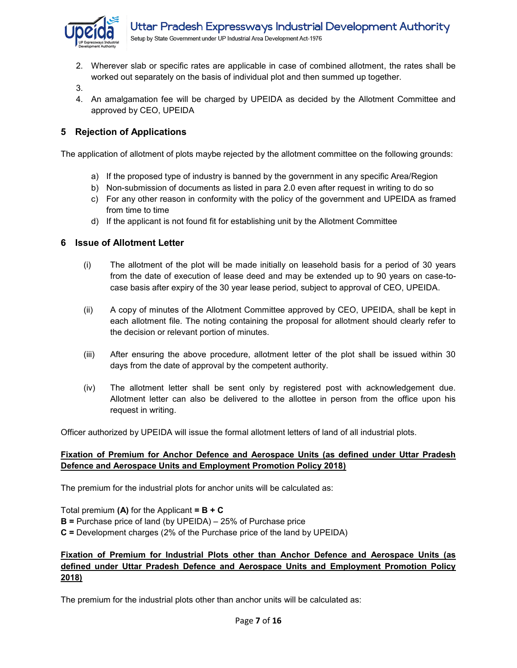

- 2. Wherever slab or specific rates are applicable in case of combined allotment, the rates shall be worked out separately on the basis of individual plot and then summed up together.
- 3.
- 4. An amalgamation fee will be charged by UPEIDA as decided by the Allotment Committee and approved by CEO, UPEIDA

## <span id="page-6-0"></span>**5 Rejection of Applications**

The application of allotment of plots maybe rejected by the allotment committee on the following grounds:

- a) If the proposed type of industry is banned by the government in any specific Area/Region
- b) Non-submission of documents as listed in para 2.0 even after request in writing to do so
- c) For any other reason in conformity with the policy of the government and UPEIDA as framed from time to time
- d) If the applicant is not found fit for establishing unit by the Allotment Committee

## <span id="page-6-1"></span>**6 Issue of Allotment Letter**

- (i) The allotment of the plot will be made initially on leasehold basis for a period of 30 years from the date of execution of lease deed and may be extended up to 90 years on case-tocase basis after expiry of the 30 year lease period, subject to approval of CEO, UPEIDA.
- (ii) A copy of minutes of the Allotment Committee approved by CEO, UPEIDA, shall be kept in each allotment file. The noting containing the proposal for allotment should clearly refer to the decision or relevant portion of minutes.
- (iii) After ensuring the above procedure, allotment letter of the plot shall be issued within 30 days from the date of approval by the competent authority.
- (iv) The allotment letter shall be sent only by registered post with acknowledgement due. Allotment letter can also be delivered to the allottee in person from the office upon his request in writing.

Officer authorized by UPEIDA will issue the formal allotment letters of land of all industrial plots.

## **Fixation of Premium for Anchor Defence and Aerospace Units (as defined under Uttar Pradesh Defence and Aerospace Units and Employment Promotion Policy 2018)**

The premium for the industrial plots for anchor units will be calculated as:

Total premium **(A)** for the Applicant **= B + C B =** Purchase price of land (by UPEIDA) – 25% of Purchase price **C =** Development charges (2% of the Purchase price of the land by UPEIDA)

## **Fixation of Premium for Industrial Plots other than Anchor Defence and Aerospace Units (as defined under Uttar Pradesh Defence and Aerospace Units and Employment Promotion Policy 2018)**

The premium for the industrial plots other than anchor units will be calculated as: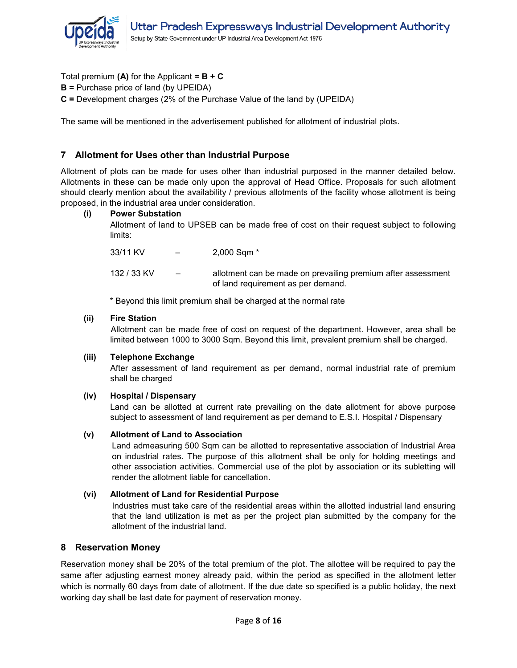

Total premium **(A)** for the Applicant **= B + C**

**B =** Purchase price of land (by UPEIDA)

**C =** Development charges (2% of the Purchase Value of the land by (UPEIDA)

The same will be mentioned in the advertisement published for allotment of industrial plots.

## <span id="page-7-0"></span>**7 Allotment for Uses other than Industrial Purpose**

Allotment of plots can be made for uses other than industrial purposed in the manner detailed below. Allotments in these can be made only upon the approval of Head Office. Proposals for such allotment should clearly mention about the availability / previous allotments of the facility whose allotment is being proposed, in the industrial area under consideration.

#### **(i) Power Substation**

Allotment of land to UPSEB can be made free of cost on their request subject to following limits:

33/11 KV – 2,000 Sqm \* 132 / 33 KV – allotment can be made on prevailing premium after assessment of land requirement as per demand.

\* Beyond this limit premium shall be charged at the normal rate

#### **(ii) Fire Station**

Allotment can be made free of cost on request of the department. However, area shall be limited between 1000 to 3000 Sqm. Beyond this limit, prevalent premium shall be charged.

#### **(iii) Telephone Exchange**

After assessment of land requirement as per demand, normal industrial rate of premium shall be charged

#### **(iv) Hospital / Dispensary**

Land can be allotted at current rate prevailing on the date allotment for above purpose subject to assessment of land requirement as per demand to E.S.I. Hospital / Dispensary

#### **(v) Allotment of Land to Association**

Land admeasuring 500 Sqm can be allotted to representative association of Industrial Area on industrial rates. The purpose of this allotment shall be only for holding meetings and other association activities. Commercial use of the plot by association or its subletting will render the allotment liable for cancellation.

#### **(vi) Allotment of Land for Residential Purpose**

Industries must take care of the residential areas within the allotted industrial land ensuring that the land utilization is met as per the project plan submitted by the company for the allotment of the industrial land.

#### <span id="page-7-1"></span>**8 Reservation Money**

Reservation money shall be 20% of the total premium of the plot. The allottee will be required to pay the same after adjusting earnest money already paid, within the period as specified in the allotment letter which is normally 60 days from date of allotment. If the due date so specified is a public holiday, the next working day shall be last date for payment of reservation money.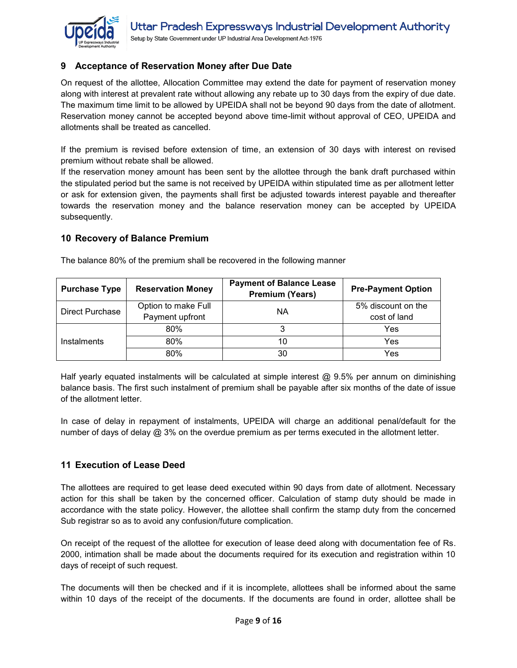

## <span id="page-8-0"></span>**9 Acceptance of Reservation Money after Due Date**

On request of the allottee, Allocation Committee may extend the date for payment of reservation money along with interest at prevalent rate without allowing any rebate up to 30 days from the expiry of due date. The maximum time limit to be allowed by UPEIDA shall not be beyond 90 days from the date of allotment. Reservation money cannot be accepted beyond above time-limit without approval of CEO, UPEIDA and allotments shall be treated as cancelled.

If the premium is revised before extension of time, an extension of 30 days with interest on revised premium without rebate shall be allowed.

If the reservation money amount has been sent by the allottee through the bank draft purchased within the stipulated period but the same is not received by UPEIDA within stipulated time as per allotment letter or ask for extension given, the payments shall first be adjusted towards interest payable and thereafter towards the reservation money and the balance reservation money can be accepted by UPEIDA subsequently.

## <span id="page-8-1"></span>**10 Recovery of Balance Premium**

| <b>Purchase Type</b> | <b>Reservation Money</b> | <b>Payment of Balance Lease</b><br><b>Premium (Years)</b> | <b>Pre-Payment Option</b> |  |
|----------------------|--------------------------|-----------------------------------------------------------|---------------------------|--|
| Direct Purchase      | Option to make Full      | ΝA                                                        | 5% discount on the        |  |
|                      | Payment upfront          |                                                           | cost of land              |  |
|                      | 80%                      |                                                           | Yes                       |  |
| Instalments          | 80%                      | 10                                                        | Yes                       |  |
|                      | 80%                      | 30                                                        | Yes                       |  |

The balance 80% of the premium shall be recovered in the following manner

Half yearly equated instalments will be calculated at simple interest @ 9.5% per annum on diminishing balance basis. The first such instalment of premium shall be payable after six months of the date of issue of the allotment letter.

In case of delay in repayment of instalments, UPEIDA will charge an additional penal/default for the number of days of delay @ 3% on the overdue premium as per terms executed in the allotment letter.

## <span id="page-8-2"></span>**11 Execution of Lease Deed**

The allottees are required to get lease deed executed within 90 days from date of allotment. Necessary action for this shall be taken by the concerned officer. Calculation of stamp duty should be made in accordance with the state policy. However, the allottee shall confirm the stamp duty from the concerned Sub registrar so as to avoid any confusion/future complication.

On receipt of the request of the allottee for execution of lease deed along with documentation fee of Rs. 2000, intimation shall be made about the documents required for its execution and registration within 10 days of receipt of such request.

The documents will then be checked and if it is incomplete, allottees shall be informed about the same within 10 days of the receipt of the documents. If the documents are found in order, allottee shall be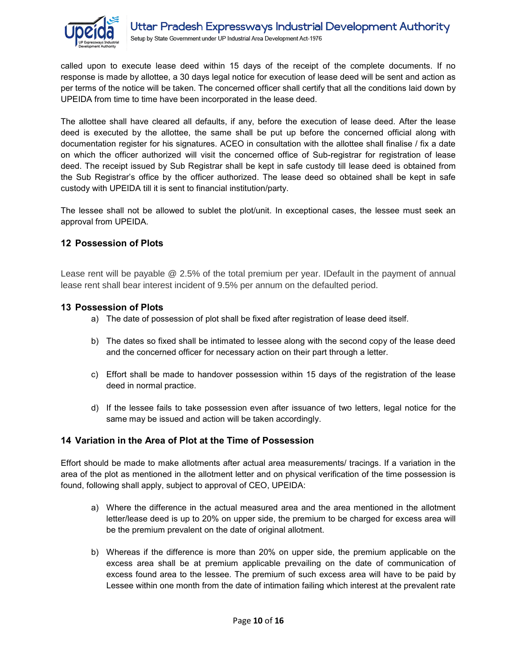

called upon to execute lease deed within 15 days of the receipt of the complete documents. If no response is made by allottee, a 30 days legal notice for execution of lease deed will be sent and action as per terms of the notice will be taken. The concerned officer shall certify that all the conditions laid down by UPEIDA from time to time have been incorporated in the lease deed.

The allottee shall have cleared all defaults, if any, before the execution of lease deed. After the lease deed is executed by the allottee, the same shall be put up before the concerned official along with documentation register for his signatures. ACEO in consultation with the allottee shall finalise / fix a date on which the officer authorized will visit the concerned office of Sub-registrar for registration of lease deed. The receipt issued by Sub Registrar shall be kept in safe custody till lease deed is obtained from the Sub Registrar's office by the officer authorized. The lease deed so obtained shall be kept in safe custody with UPEIDA till it is sent to financial institution/party.

The lessee shall not be allowed to sublet the plot/unit. In exceptional cases, the lessee must seek an approval from UPEIDA.

## **12 Possession of Plots**

Lease rent will be payable @ 2.5% of the total premium per year. IDefault in the payment of annual lease rent shall bear interest incident of 9.5% per annum on the defaulted period.

#### <span id="page-9-0"></span>**13 Possession of Plots**

- a) The date of possession of plot shall be fixed after registration of lease deed itself.
- b) The dates so fixed shall be intimated to lessee along with the second copy of the lease deed and the concerned officer for necessary action on their part through a letter.
- c) Effort shall be made to handover possession within 15 days of the registration of the lease deed in normal practice.
- d) If the lessee fails to take possession even after issuance of two letters, legal notice for the same may be issued and action will be taken accordingly.

## <span id="page-9-1"></span>**14 Variation in the Area of Plot at the Time of Possession**

Effort should be made to make allotments after actual area measurements/ tracings. If a variation in the area of the plot as mentioned in the allotment letter and on physical verification of the time possession is found, following shall apply, subject to approval of CEO, UPEIDA:

- a) Where the difference in the actual measured area and the area mentioned in the allotment letter/lease deed is up to 20% on upper side, the premium to be charged for excess area will be the premium prevalent on the date of original allotment.
- b) Whereas if the difference is more than 20% on upper side, the premium applicable on the excess area shall be at premium applicable prevailing on the date of communication of excess found area to the lessee. The premium of such excess area will have to be paid by Lessee within one month from the date of intimation failing which interest at the prevalent rate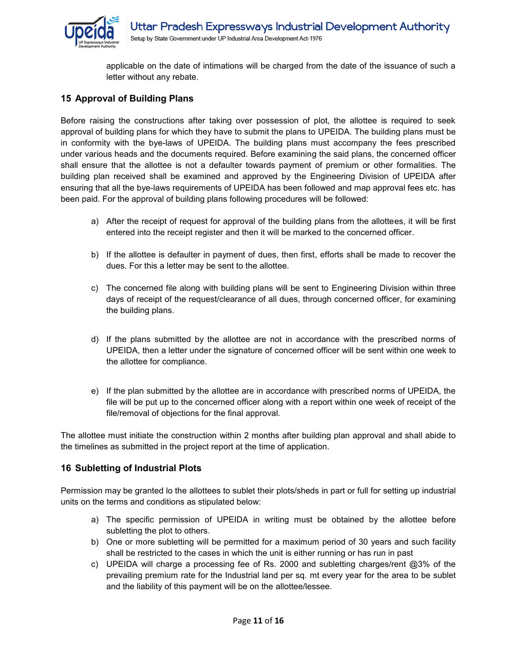

applicable on the date of intimations will be charged from the date of the issuance of such a letter without any rebate.

## <span id="page-10-0"></span>**15 Approval of Building Plans**

Before raising the constructions after taking over possession of plot, the allottee is required to seek approval of building plans for which they have to submit the plans to UPEIDA. The building plans must be in conformity with the bye-laws of UPEIDA. The building plans must accompany the fees prescribed under various heads and the documents required. Before examining the said plans, the concerned officer shall ensure that the allottee is not a defaulter towards payment of premium or other formalities. The building plan received shall be examined and approved by the Engineering Division of UPEIDA after ensuring that all the bye-laws requirements of UPEIDA has been followed and map approval fees etc. has been paid. For the approval of building plans following procedures will be followed:

- a) After the receipt of request for approval of the building plans from the allottees, it will be first entered into the receipt register and then it will be marked to the concerned officer.
- b) If the allottee is defaulter in payment of dues, then first, efforts shall be made to recover the dues. For this a letter may be sent to the allottee.
- c) The concerned file along with building plans will be sent to Engineering Division within three days of receipt of the request/clearance of all dues, through concerned officer, for examining the building plans.
- d) If the plans submitted by the allottee are not in accordance with the prescribed norms of UPEIDA, then a letter under the signature of concerned officer will be sent within one week to the allottee for compliance.
- e) If the plan submitted by the allottee are in accordance with prescribed norms of UPEIDA, the file will be put up to the concerned officer along with a report within one week of receipt of the file/removal of objections for the final approval.

The allottee must initiate the construction within 2 months after building plan approval and shall abide to the timelines as submitted in the project report at the time of application.

## <span id="page-10-1"></span>**16 Subletting of Industrial Plots**

Permission may be granted lo the allottees to sublet their plots/sheds in part or full for setting up industrial units on the terms and conditions as stipulated below:

- a) The specific permission of UPEIDA in writing must be obtained by the allottee before subletting the plot to others.
- b) One or more subletting will be permitted for a maximum period of 30 years and such facility shall be restricted to the cases in which the unit is either running or has run in past
- c) UPEIDA will charge a processing fee of Rs. 2000 and subletting charges/rent @3% of the prevailing premium rate for the Industrial land per sq. mt every year for the area to be sublet and the liability of this payment will be on the allottee/lessee.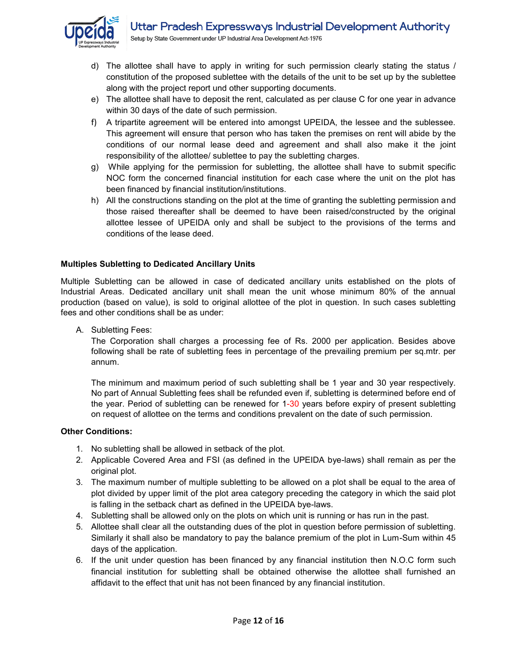

- d) The allottee shall have to apply in writing for such permission clearly stating the status / constitution of the proposed sublettee with the details of the unit to be set up by the sublettee along with the project report und other supporting documents.
- e) The allottee shall have to deposit the rent, calculated as per clause C for one year in advance within 30 days of the date of such permission.
- f) A tripartite agreement will be entered into amongst UPEIDA, the lessee and the sublessee. This agreement will ensure that person who has taken the premises on rent will abide by the conditions of our normal lease deed and agreement and shall also make it the joint responsibility of the allottee/ sublettee to pay the subletting charges.
- g) While applying for the permission for subletting, the allottee shall have to submit specific NOC form the concerned financial institution for each case where the unit on the plot has been financed by financial institution/institutions.
- h) All the constructions standing on the plot at the time of granting the subletting permission and those raised thereafter shall be deemed to have been raised/constructed by the original allottee lessee of UPEIDA only and shall be subject to the provisions of the terms and conditions of the lease deed.

#### **Multiples Subletting to Dedicated Ancillary Units**

Multiple Subletting can be allowed in case of dedicated ancillary units established on the plots of Industrial Areas. Dedicated ancillary unit shall mean the unit whose minimum 80% of the annual production (based on value), is sold to original allottee of the plot in question. In such cases subletting fees and other conditions shall be as under:

A. Subletting Fees:

The Corporation shall charges a processing fee of Rs. 2000 per application. Besides above following shall be rate of subletting fees in percentage of the prevailing premium per sq.mtr. per annum.

The minimum and maximum period of such subletting shall be 1 year and 30 year respectively. No part of Annual Subletting fees shall be refunded even if, subletting is determined before end of the year. Period of subletting can be renewed for 1-30 years before expiry of present subletting on request of allottee on the terms and conditions prevalent on the date of such permission.

#### **Other Conditions:**

- 1. No subletting shall be allowed in setback of the plot.
- 2. Applicable Covered Area and FSI (as defined in the UPEIDA bye-laws) shall remain as per the original plot.
- 3. The maximum number of multiple subletting to be allowed on a plot shall be equal to the area of plot divided by upper limit of the plot area category preceding the category in which the said plot is falling in the setback chart as defined in the UPEIDA bye-laws.
- 4. Subletting shall be allowed only on the plots on which unit is running or has run in the past.
- 5. Allottee shall clear all the outstanding dues of the plot in question before permission of subletting. Similarly it shall also be mandatory to pay the balance premium of the plot in Lum-Sum within 45 days of the application.
- 6. If the unit under question has been financed by any financial institution then N.O.C form such financial institution for subletting shall be obtained otherwise the allottee shall furnished an affidavit to the effect that unit has not been financed by any financial institution.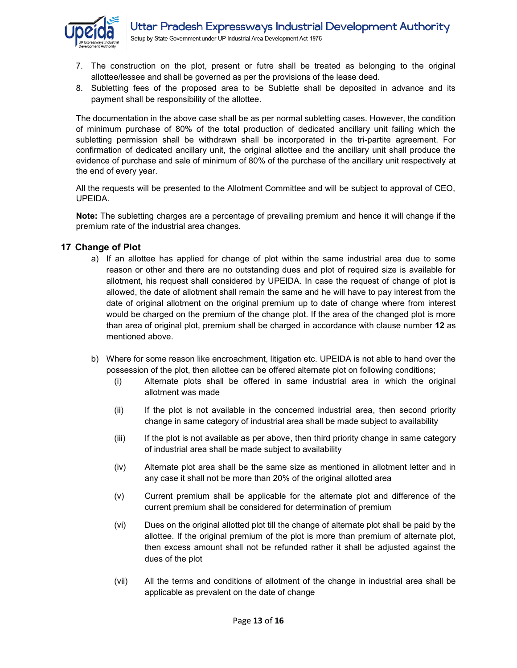

- 7. The construction on the plot, present or futre shall be treated as belonging to the original allottee/lessee and shall be governed as per the provisions of the lease deed.
- 8. Subletting fees of the proposed area to be Sublette shall be deposited in advance and its payment shall be responsibility of the allottee.

The documentation in the above case shall be as per normal subletting cases. However, the condition of minimum purchase of 80% of the total production of dedicated ancillary unit failing which the subletting permission shall be withdrawn shall be incorporated in the tri-partite agreement. For confirmation of dedicated ancillary unit, the original allottee and the ancillary unit shall produce the evidence of purchase and sale of minimum of 80% of the purchase of the ancillary unit respectively at the end of every year.

All the requests will be presented to the Allotment Committee and will be subject to approval of CEO, UPEIDA.

**Note:** The subletting charges are a percentage of prevailing premium and hence it will change if the premium rate of the industrial area changes.

## <span id="page-12-0"></span>**17 Change of Plot**

- a) If an allottee has applied for change of plot within the same industrial area due to some reason or other and there are no outstanding dues and plot of required size is available for allotment, his request shall considered by UPEIDA. In case the request of change of plot is allowed, the date of allotment shall remain the same and he will have to pay interest from the date of original allotment on the original premium up to date of change where from interest would be charged on the premium of the change plot. If the area of the changed plot is more than area of original plot, premium shall be charged in accordance with clause number **12** as mentioned above.
- b) Where for some reason like encroachment, litigation etc. UPEIDA is not able to hand over the possession of the plot, then allottee can be offered alternate plot on following conditions;
	- (i) Alternate plots shall be offered in same industrial area in which the original allotment was made
	- (ii) If the plot is not available in the concerned industrial area, then second priority change in same category of industrial area shall be made subject to availability
	- (iii) If the plot is not available as per above, then third priority change in same category of industrial area shall be made subject to availability
	- (iv) Alternate plot area shall be the same size as mentioned in allotment letter and in any case it shall not be more than 20% of the original allotted area
	- (v) Current premium shall be applicable for the alternate plot and difference of the current premium shall be considered for determination of premium
	- (vi) Dues on the original allotted plot till the change of alternate plot shall be paid by the allottee. If the original premium of the plot is more than premium of alternate plot, then excess amount shall not be refunded rather it shall be adjusted against the dues of the plot
	- (vii) All the terms and conditions of allotment of the change in industrial area shall be applicable as prevalent on the date of change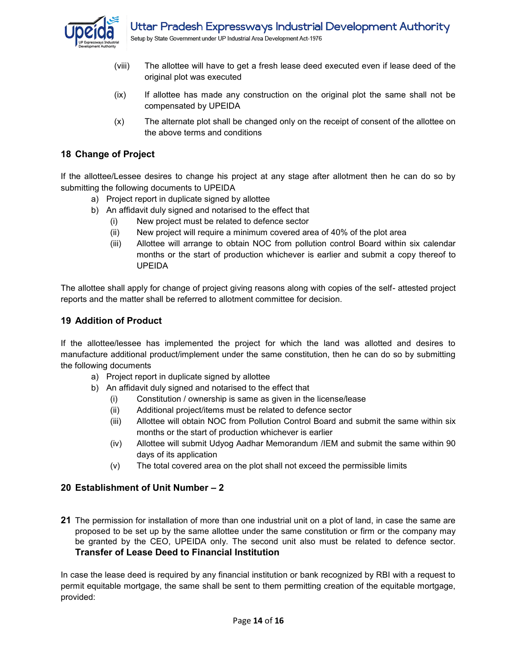

- (viii) The allottee will have to get a fresh lease deed executed even if lease deed of the original plot was executed
- (ix) If allottee has made any construction on the original plot the same shall not be compensated by UPEIDA
- (x) The alternate plot shall be changed only on the receipt of consent of the allottee on the above terms and conditions

## <span id="page-13-0"></span>**18 Change of Project**

If the allottee/Lessee desires to change his project at any stage after allotment then he can do so by submitting the following documents to UPEIDA

- a) Project report in duplicate signed by allottee
- b) An affidavit duly signed and notarised to the effect that
	- (i) New project must be related to defence sector
	- (ii) New project will require a minimum covered area of 40% of the plot area
	- (iii) Allottee will arrange to obtain NOC from pollution control Board within six calendar months or the start of production whichever is earlier and submit a copy thereof to UPEIDA

The allottee shall apply for change of project giving reasons along with copies of the self- attested project reports and the matter shall be referred to allotment committee for decision.

## <span id="page-13-1"></span>**19 Addition of Product**

If the allottee/lessee has implemented the project for which the land was allotted and desires to manufacture additional product/implement under the same constitution, then he can do so by submitting the following documents

- a) Project report in duplicate signed by allottee
- b) An affidavit duly signed and notarised to the effect that
	- (i) Constitution / ownership is same as given in the license/lease
	- (ii) Additional project/items must be related to defence sector
	- (iii) Allottee will obtain NOC from Pollution Control Board and submit the same within six months or the start of production whichever is earlier
	- (iv) Allottee will submit Udyog Aadhar Memorandum /IEM and submit the same within 90 days of its application
	- (v) The total covered area on the plot shall not exceed the permissible limits

## <span id="page-13-2"></span>**20 Establishment of Unit Number – 2**

**21** The permission for installation of more than one industrial unit on a plot of land, in case the same are proposed to be set up by the same allottee under the same constitution or firm or the company may be granted by the CEO, UPEIDA only. The second unit also must be related to defence sector. **Transfer of Lease Deed to Financial Institution** 

In case the lease deed is required by any financial institution or bank recognized by RBI with a request to permit equitable mortgage, the same shall be sent to them permitting creation of the equitable mortgage, provided: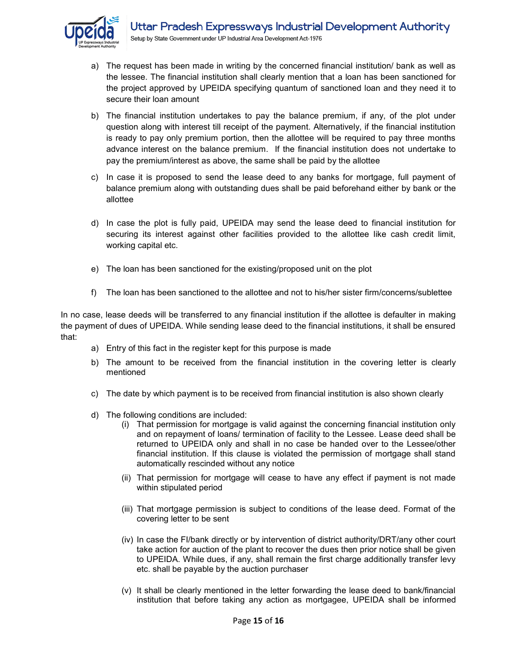

- a) The request has been made in writing by the concerned financial institution/ bank as well as the lessee. The financial institution shall clearly mention that a loan has been sanctioned for the project approved by UPEIDA specifying quantum of sanctioned loan and they need it to secure their loan amount
- b) The financial institution undertakes to pay the balance premium, if any, of the plot under question along with interest till receipt of the payment. Alternatively, if the financial institution is ready to pay only premium portion, then the allottee will be required to pay three months advance interest on the balance premium. If the financial institution does not undertake to pay the premium/interest as above, the same shall be paid by the allottee
- c) In case it is proposed to send the lease deed to any banks for mortgage, full payment of balance premium along with outstanding dues shall be paid beforehand either by bank or the allottee
- d) In case the plot is fully paid, UPEIDA may send the lease deed to financial institution for securing its interest against other facilities provided to the allottee like cash credit limit, working capital etc.
- e) The loan has been sanctioned for the existing/proposed unit on the plot
- f) The loan has been sanctioned to the allottee and not to his/her sister firm/concerns/sublettee

In no case, lease deeds will be transferred to any financial institution if the allottee is defaulter in making the payment of dues of UPEIDA. While sending lease deed to the financial institutions, it shall be ensured that:

- a) Entry of this fact in the register kept for this purpose is made
- b) The amount to be received from the financial institution in the covering letter is clearly mentioned
- c) The date by which payment is to be received from financial institution is also shown clearly
- d) The following conditions are included:
	- (i) That permission for mortgage is valid against the concerning financial institution only and on repayment of loans/ termination of facility to the Lessee. Lease deed shall be returned to UPEIDA only and shall in no case be handed over to the Lessee/other financial institution. If this clause is violated the permission of mortgage shall stand automatically rescinded without any notice
	- (ii) That permission for mortgage will cease to have any effect if payment is not made within stipulated period
	- (iii) That mortgage permission is subject to conditions of the lease deed. Format of the covering letter to be sent
	- (iv) In case the FI/bank directly or by intervention of district authority/DRT/any other court take action for auction of the plant to recover the dues then prior notice shall be given to UPEIDA. While dues, if any, shall remain the first charge additionally transfer levy etc. shall be payable by the auction purchaser
	- (v) It shall be clearly mentioned in the letter forwarding the lease deed to bank/financial institution that before taking any action as mortgagee, UPEIDA shall be informed